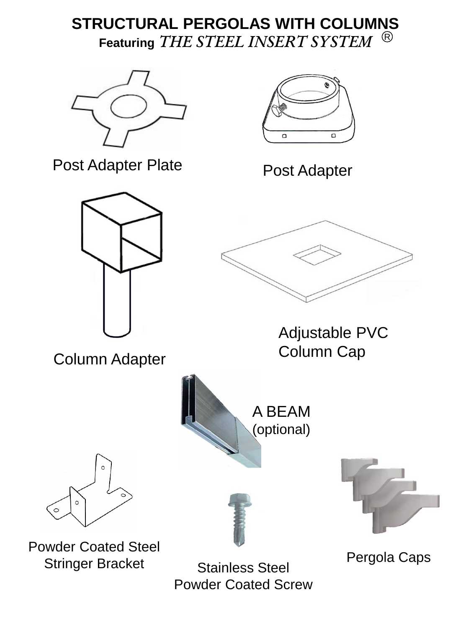## **STRUCTURAL PERGOLAS WITH COLUMNS Featuring** *THE STEEL INSERT SYSTEM* R



Post Adapter Plate



Post Adapter



Column Adapter



Adjustable PVC Column Cap





Powder Coated Steel Stringer Bracket

Stainless Steel Powder Coated Screw



Pergola Caps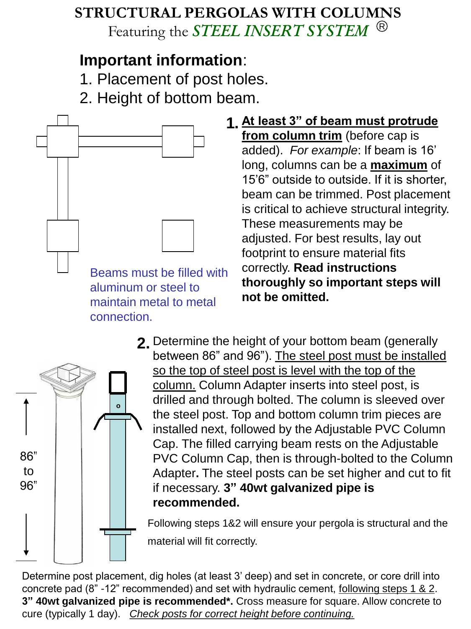## **STRUCTURAL PERGOLAS WITH COLUMNS** Featuring the *STEEL INSERT SYSTEM* R

## **Important information**:

- 1. Placement of post holes.
- 2. Height of bottom beam.



**At least 3" of beam must protrude 1. from column trim** (before cap is added). *For example*: If beam is 16' long, columns can be a **maximum** of 15'6" outside to outside. If it is shorter, beam can be trimmed. Post placement is critical to achieve structural integrity. These measurements may be adjusted. For best results, lay out footprint to ensure material fits correctly. **Read instructions thoroughly so important steps will not be omitted.**



Determine the height of your bottom beam (generally **2.** between 86" and 96"). The steel post must be installed so the top of steel post is level with the top of the column. Column Adapter inserts into steel post, is drilled and through bolted. The column is sleeved over the steel post. Top and bottom column trim pieces are installed next, followed by the Adjustable PVC Column Cap. The filled carrying beam rests on the Adjustable PVC Column Cap, then is through-bolted to the Column Adapter**.** The steel posts can be set higher and cut to fit if necessary. **3" 40wt galvanized pipe is recommended.**

Following steps 1&2 will ensure your pergola is structural and the material will fit correctly.

Determine post placement, dig holes (at least 3' deep) and set in concrete, or core drill into concrete pad (8" -12" recommended) and set with hydraulic cement, following steps 1 & 2. **3" 40wt galvanized pipe is recommended\*.** Cross measure for square. Allow concrete to cure (typically 1 day). *Check posts for correct height before continuing.*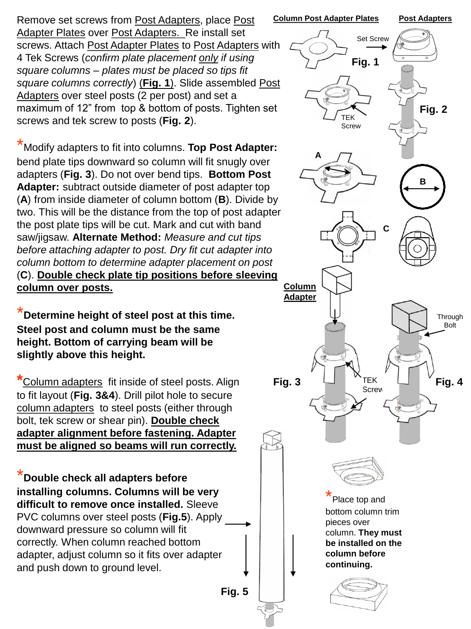Remove set screws from Post Adapters, place Post Adapter Plates over Post Adapters. Re install set screws. Attach Post Adapter Plates to Post Adapters with 4 Tek Screws (*confirm plate placement only if using square columns – plates must be placed so tips fit square columns correctly*) (**Fig. 1**). Slide assembled Post Adapters over steel posts (2 per post) and set a maximum of 12" from top & bottom of posts. Tighten set screws and tek screw to posts (**Fig. 2**).

\*Modify adapters to fit into columns. **Top Post Adapter:** bend plate tips downward so column will fit snugly over adapters (**Fig. 3**). Do not over bend tips. **Bottom Post Adapter:** subtract outside diameter of post adapter top (**A**) from inside diameter of column bottom (**B**). Divide by two. This will be the distance from the top of post adapter the post plate tips will be cut. Mark and cut with band saw/jigsaw. **Alternate Method:** *Measure and cut tips before attaching adapter to post. Dry fit cut adapter into column bottom to determine adapter placement on post*  (**C**). **Double check plate tip positions before sleeving column over posts.**

**Determine height of steel post at this time. Steel post and column must be the same height. Bottom of carrying beam will be slightly above this height.**

**\***Column adapters fit inside of steel posts. Align to fit layout (**Fig. 3&4**). Drill pilot hole to secure column adapters to steel posts (either through bolt, tek screw or shear pin). **Double check adapter alignment before fastening. Adapter must be aligned so beams will run correctly.**

\***Double check all adapters before installing columns. Columns will be very difficult to remove once installed.** Sleeve PVC columns over steel posts (**Fig.5**). Apply downward pressure so column will fit correctly. When column reached bottom adapter, adjust column so it fits over adapter and push down to ground level.

**Fig. 5**

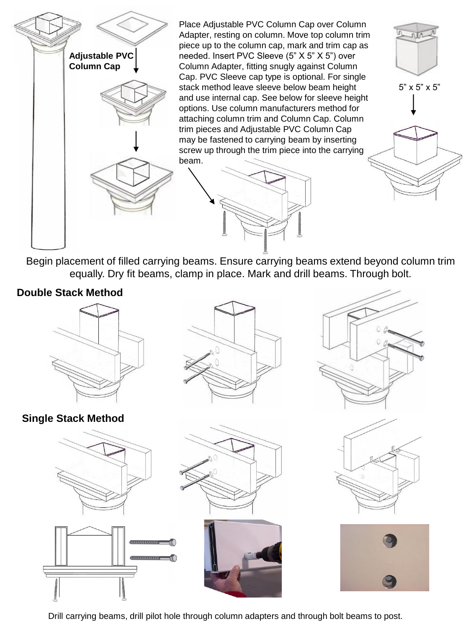

Begin placement of filled carrying beams. Ensure carrying beams extend beyond column trim equally. Dry fit beams, clamp in place. Mark and drill beams. Through bolt.

## **Double Stack Method**



**Single Stack Method**











Drill carrying beams, drill pilot hole through column adapters and through bolt beams to post.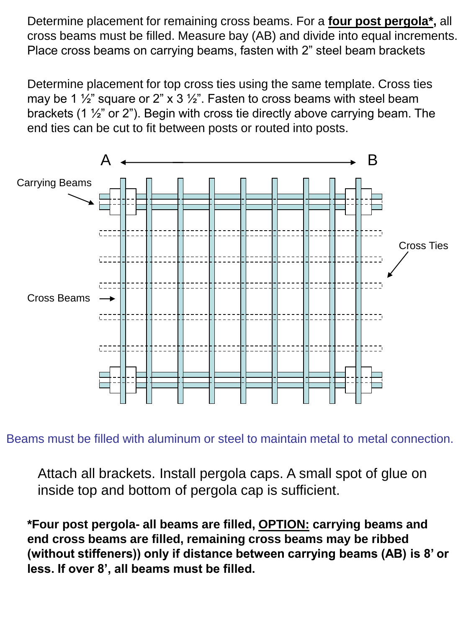Determine placement for remaining cross beams. For a **four post pergola\*,** all cross beams must be filled. Measure bay (AB) and divide into equal increments. Place cross beams on carrying beams, fasten with 2" steel beam brackets

Determine placement for top cross ties using the same template. Cross ties may be 1  $\frac{1}{2}$ " square or 2" x 3  $\frac{1}{2}$ ". Fasten to cross beams with steel beam brackets (1 ½" or 2"). Begin with cross tie directly above carrying beam. The end ties can be cut to fit between posts or routed into posts.



Beams must be filled with aluminum or steel to maintain metal to metal connection.

Attach all brackets. Install pergola caps. A small spot of glue on inside top and bottom of pergola cap is sufficient.

**\*Four post pergola- all beams are filled, OPTION: carrying beams and end cross beams are filled, remaining cross beams may be ribbed (without stiffeners)) only if distance between carrying beams (AB) is 8' or less. If over 8', all beams must be filled.**